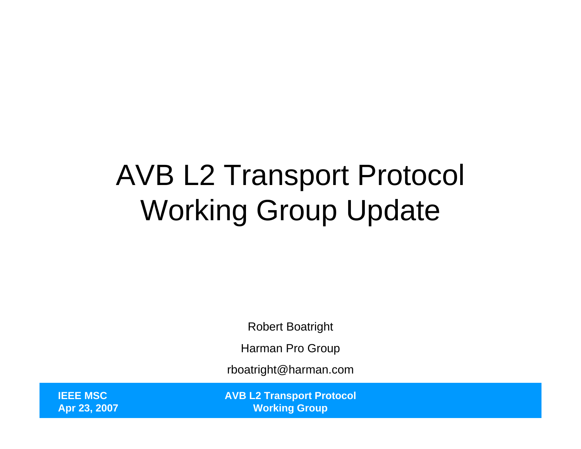### AVB L2 Transport Protocol Working Group Update

Robert Boatright

Harman Pro Group

rboatright@harman.com

**IEEE MSCApr 23, 2007** **AVB L2 Transport Protocol Working Group**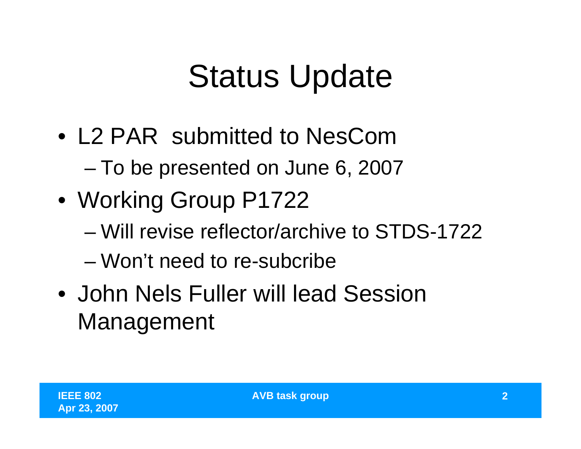## Status Update

- L2 PAR submitted to NesCom–To be presented on June 6, 2007
- Working Group P1722
	- Will revise reflector/archive to STDS-1722
	- Won't need to re-subcribe
- John Nels Fuller will lead Session Management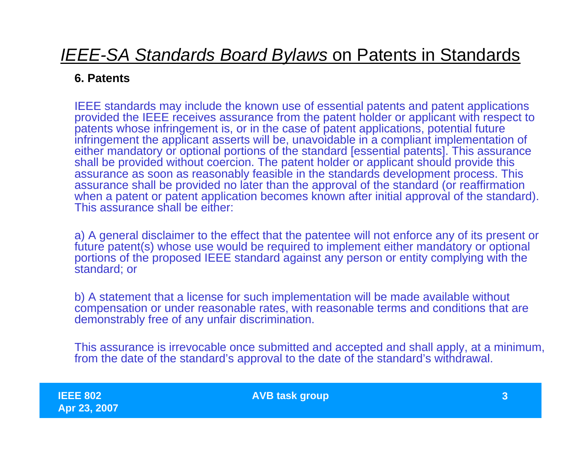### *IEEE-SA Standards Board Bylaws* on Patents in Standards

#### **6. Patents**

IEEE standards may include the known use of essential patents and patent applications provided the IEEE receives assurance from the patent holder or applicant with respect to patents whose infringement is, or in the case of patent applications, potential future infringement the applicant asserts will be, unavoidable in a compliant implementation of either mandatory or optional portions of the standard [essential patents]. This assurance shall be provided without coercion. The patent holder or applicant should provide this assurance as soon as reasonably feasible in the standards development process. This assurance shall be provided no later than the approval of the standard (or reaffirmation when a patent or patent application becomes known after initial approval of the standard). This assurance shall be either:

a) A general disclaimer to the effect that the patentee will not enforce any of its present or future patent(s) whose use would be required to implement either mandatory or optional portions of the proposed IEEE standard against any person or entity complying with the standard; or

b) A statement that a license for such implementation will be made available without compensation or under reasonable rates, with reasonable terms and conditions that are demonstrably free of any unfair discrimination.

This assurance is irrevocable once submitted and accepted and shall apply, at a minimum, from the date of the standard's approval to the date of the standard's withdrawal.

**IEEE 802Apr 23, 2007** **AVB task group 3**